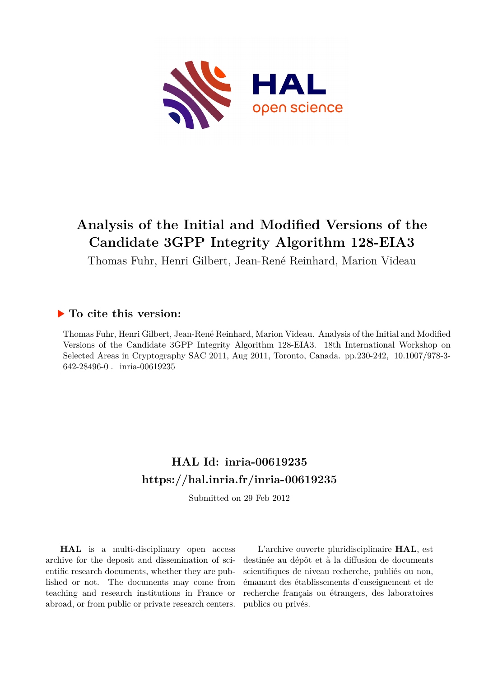

# **Analysis of the Initial and Modified Versions of the Candidate 3GPP Integrity Algorithm 128-EIA3**

Thomas Fuhr, Henri Gilbert, Jean-René Reinhard, Marion Videau

### **To cite this version:**

Thomas Fuhr, Henri Gilbert, Jean-René Reinhard, Marion Videau. Analysis of the Initial and Modified Versions of the Candidate 3GPP Integrity Algorithm 128-EIA3. 18th International Workshop on Selected Areas in Cryptography SAC 2011, Aug 2011, Toronto, Canada. pp.230-242, 10.1007/978-3-642-28496-0. inria-00619235

## **HAL Id: inria-00619235 <https://hal.inria.fr/inria-00619235>**

Submitted on 29 Feb 2012

**HAL** is a multi-disciplinary open access archive for the deposit and dissemination of scientific research documents, whether they are published or not. The documents may come from teaching and research institutions in France or abroad, or from public or private research centers.

L'archive ouverte pluridisciplinaire **HAL**, est destinée au dépôt et à la diffusion de documents scientifiques de niveau recherche, publiés ou non, émanant des établissements d'enseignement et de recherche français ou étrangers, des laboratoires publics ou privés.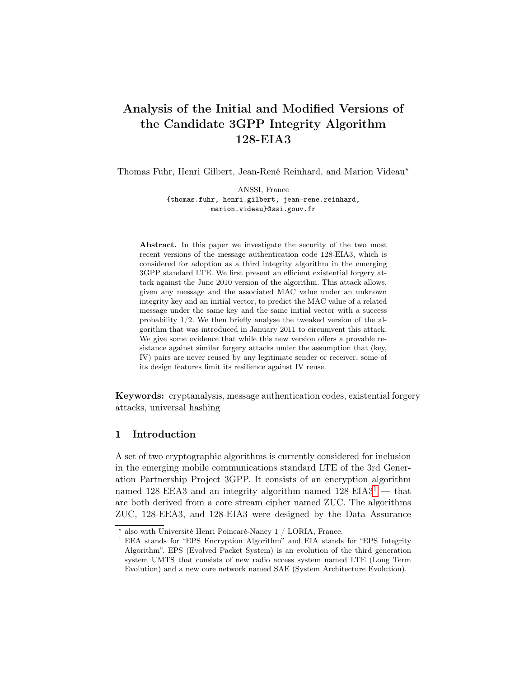## Analysis of the Initial and Modified Versions of the Candidate 3GPP Integrity Algorithm 128-EIA3

Thomas Fuhr, Henri Gilbert, Jean-René Reinhard, and Marion Videau<sup>\*</sup>

ANSSI, France {thomas.fuhr, henri.gilbert, jean-rene.reinhard, marion.videau}@ssi.gouv.fr

Abstract. In this paper we investigate the security of the two most recent versions of the message authentication code 128-EIA3, which is considered for adoption as a third integrity algorithm in the emerging 3GPP standard LTE. We first present an efficient existential forgery attack against the June 2010 version of the algorithm. This attack allows, given any message and the associated MAC value under an unknown integrity key and an initial vector, to predict the MAC value of a related message under the same key and the same initial vector with a success probability 1/2. We then briefly analyse the tweaked version of the algorithm that was introduced in January 2011 to circumvent this attack. We give some evidence that while this new version offers a provable resistance against similar forgery attacks under the assumption that (key, IV) pairs are never reused by any legitimate sender or receiver, some of its design features limit its resilience against IV reuse.

Keywords: cryptanalysis, message authentication codes, existential forgery attacks, universal hashing

#### 1 Introduction

A set of two cryptographic algorithms is currently considered for inclusion in the emerging mobile communications standard LTE of the 3rd Generation Partnership Project 3GPP. It consists of an encryption algorithm named [1](#page-1-0)28-EEA3 and an integrity algorithm named  $128$ -EIA3<sup>1</sup> — that are both derived from a core stream cipher named ZUC. The algorithms ZUC, 128-EEA3, and 128-EIA3 were designed by the Data Assurance

 $^{\star}$ also with Université Henri Poincaré-Nancy 1 / LORIA, France.

<span id="page-1-0"></span><sup>&</sup>lt;sup>1</sup> EEA stands for "EPS Encryption Algorithm" and EIA stands for "EPS Integrity Algorithm". EPS (Evolved Packet System) is an evolution of the third generation system UMTS that consists of new radio access system named LTE (Long Term Evolution) and a new core network named SAE (System Architecture Evolution).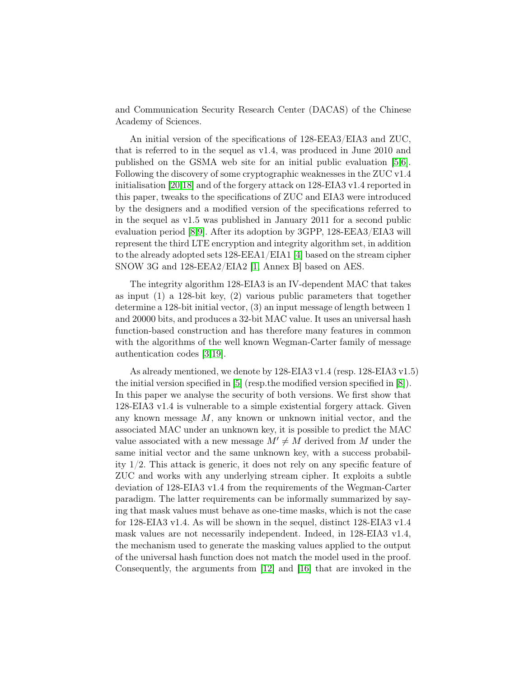and Communication Security Research Center (DACAS) of the Chinese Academy of Sciences.

An initial version of the specifications of 128-EEA3/EIA3 and ZUC, that is referred to in the sequel as v1.4, was produced in June 2010 and published on the GSMA web site for an initial public evaluation [\[5,](#page-13-0)[6\]](#page-13-1). Following the discovery of some cryptographic weaknesses in the ZUC v1.4 initialisation [\[20](#page-14-0)[,18\]](#page-14-1) and of the forgery attack on 128-EIA3 v1.4 reported in this paper, tweaks to the specifications of ZUC and EIA3 were introduced by the designers and a modified version of the specifications referred to in the sequel as v1.5 was published in January 2011 for a second public evaluation period [\[8](#page-13-2)[,9\]](#page-14-2). After its adoption by 3GPP, 128-EEA3/EIA3 will represent the third LTE encryption and integrity algorithm set, in addition to the already adopted sets 128-EEA1/EIA1 [\[4\]](#page-13-3) based on the stream cipher SNOW 3G and 128-EEA2/EIA2 [\[1,](#page-13-4) Annex B] based on AES.

The integrity algorithm 128-EIA3 is an IV-dependent MAC that takes as input (1) a 128-bit key, (2) various public parameters that together determine a 128-bit initial vector, (3) an input message of length between 1 and 20000 bits, and produces a 32-bit MAC value. It uses an universal hash function-based construction and has therefore many features in common with the algorithms of the well known Wegman-Carter family of message authentication codes [\[3,](#page-13-5)[19\]](#page-14-3).

As already mentioned, we denote by 128-EIA3 v1.4 (resp. 128-EIA3 v1.5) the initial version specified in [\[5\]](#page-13-0) (resp.the modified version specified in [\[8\]](#page-13-2)). In this paper we analyse the security of both versions. We first show that 128-EIA3 v1.4 is vulnerable to a simple existential forgery attack. Given any known message M, any known or unknown initial vector, and the associated MAC under an unknown key, it is possible to predict the MAC value associated with a new message  $M' \neq M$  derived from M under the same initial vector and the same unknown key, with a success probability 1/2. This attack is generic, it does not rely on any specific feature of ZUC and works with any underlying stream cipher. It exploits a subtle deviation of 128-EIA3 v1.4 from the requirements of the Wegman-Carter paradigm. The latter requirements can be informally summarized by saying that mask values must behave as one-time masks, which is not the case for 128-EIA3 v1.4. As will be shown in the sequel, distinct 128-EIA3 v1.4 mask values are not necessarily independent. Indeed, in 128-EIA3 v1.4, the mechanism used to generate the masking values applied to the output of the universal hash function does not match the model used in the proof. Consequently, the arguments from [\[12\]](#page-14-4) and [\[16\]](#page-14-5) that are invoked in the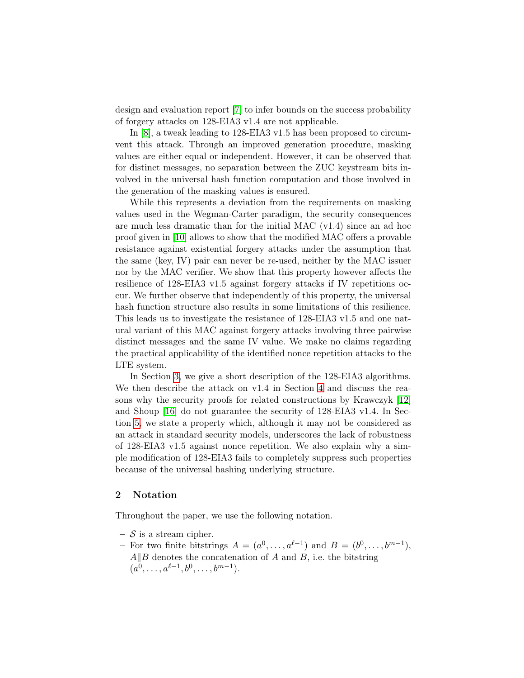design and evaluation report [\[7\]](#page-13-6) to infer bounds on the success probability of forgery attacks on 128-EIA3 v1.4 are not applicable.

In [\[8\]](#page-13-2), a tweak leading to 128-EIA3 v1.5 has been proposed to circumvent this attack. Through an improved generation procedure, masking values are either equal or independent. However, it can be observed that for distinct messages, no separation between the ZUC keystream bits involved in the universal hash function computation and those involved in the generation of the masking values is ensured.

While this represents a deviation from the requirements on masking values used in the Wegman-Carter paradigm, the security consequences are much less dramatic than for the initial MAC (v1.4) since an ad hoc proof given in [\[10\]](#page-14-6) allows to show that the modified MAC offers a provable resistance against existential forgery attacks under the assumption that the same (key, IV) pair can never be re-used, neither by the MAC issuer nor by the MAC verifier. We show that this property however affects the resilience of 128-EIA3 v1.5 against forgery attacks if IV repetitions occur. We further observe that independently of this property, the universal hash function structure also results in some limitations of this resilience. This leads us to investigate the resistance of 128-EIA3 v1.5 and one natural variant of this MAC against forgery attacks involving three pairwise distinct messages and the same IV value. We make no claims regarding the practical applicability of the identified nonce repetition attacks to the LTE system.

In Section [3,](#page-4-0) we give a short description of the 128-EIA3 algorithms. We then describe the attack on v1.4 in Section [4](#page-5-0) and discuss the reasons why the security proofs for related constructions by Krawczyk [\[12\]](#page-14-4) and Shoup [\[16\]](#page-14-5) do not guarantee the security of 128-EIA3 v1.4. In Section [5,](#page-8-0) we state a property which, although it may not be considered as an attack in standard security models, underscores the lack of robustness of 128-EIA3 v1.5 against nonce repetition. We also explain why a simple modification of 128-EIA3 fails to completely suppress such properties because of the universal hashing underlying structure.

#### 2 Notation

Throughout the paper, we use the following notation.

- $-$  S is a stream cipher.
- For two finite bitstrings  $A = (a^0, \ldots, a^{\ell-1})$  and  $B = (b^0, \ldots, b^{m-1}),$  $A||B$  denotes the concatenation of A and B, i.e. the bitstring  $(a^0, \ldots, a^{\ell-1}, b^0, \ldots, b^{m-1}).$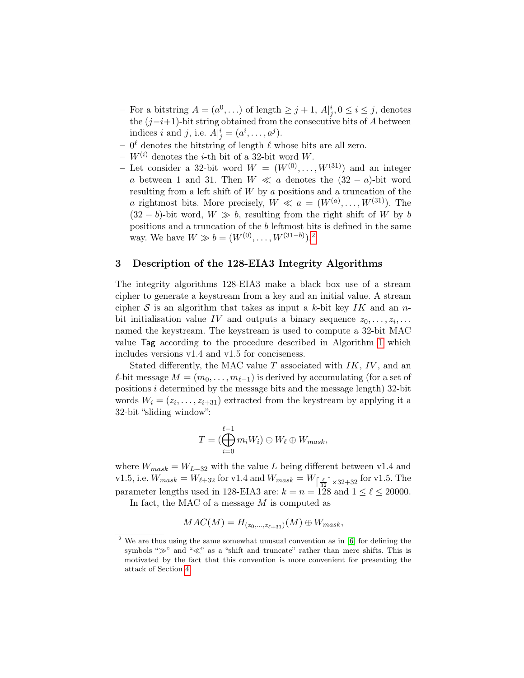- For a bitstring  $A = (a^0, \ldots)$  of length  $\geq j + 1$ ,  $A|_{j}^{i}, 0 \leq i \leq j$ , denotes the  $(j-i+1)$ -bit string obtained from the consecutive bits of A between indices i and j, i.e.  $A|_{j}^{i} = (a^{i}, \ldots, a^{j}).$
- $-0^{\ell}$  denotes the bitstring of length  $\ell$  whose bits are all zero.
- $W^{(i)}$  denotes the *i*-th bit of a 32-bit word W.
- Let consider a 32-bit word  $W = (W^{(0)}, \ldots, W^{(31)})$  and an integer a between 1 and 31. Then  $W \ll a$  denotes the  $(32 - a)$ -bit word resulting from a left shift of W by a positions and a truncation of the *a* rightmost bits. More precisely,  $W \ll a = (W^{(a)}, \ldots, W^{(31)})$ . The  $(32 - b)$ -bit word,  $W \gg b$ , resulting from the right shift of W by b positions and a truncation of the b leftmost bits is defined in the same way. We have  $W \gg b = (W^{(0)}, \ldots, W^{(31-b)})$ .<sup>[2](#page-4-1)</sup>

#### <span id="page-4-0"></span>3 Description of the 128-EIA3 Integrity Algorithms

The integrity algorithms 128-EIA3 make a black box use of a stream cipher to generate a keystream from a key and an initial value. A stream cipher S is an algorithm that takes as input a k-bit key IK and an nbit initialisation value IV and outputs a binary sequence  $z_0, \ldots, z_i, \ldots$ named the keystream. The keystream is used to compute a 32-bit MAC value Tag according to the procedure described in Algorithm [1](#page-5-1) which includes versions v1.4 and v1.5 for conciseness.

Stated differently, the MAC value  $T$  associated with  $IK, IV$ , and an  $ℓ$ -bit message  $M = (m_0, \ldots, m_{ℓ-1})$  is derived by accumulating (for a set of positions  $i$  determined by the message bits and the message length) 32-bit words  $W_i = (z_i, \ldots, z_{i+31})$  extracted from the keystream by applying it a 32-bit "sliding window":

$$
T=(\bigoplus_{i=0}^{\ell-1}m_iW_i)\oplus W_{\ell}\oplus W_{mask},
$$

where  $W_{mask} = W_{L-32}$  with the value L being different between v1.4 and v1.5, i.e.  $W_{mask} = W_{\ell+32}$  for v1.4 and  $W_{mask} = W_{\lceil \frac{\ell}{32} \rceil \times 32 + 32}$  for v1.5. The parameter lengths used in 128-EIA3 are:  $k = n = 128$  and  $1 \leq \ell \leq 20000$ .

In fact, the MAC of a message M is computed as

$$
MAC(M) = H_{(z_0,\ldots,z_{\ell+31})}(M) \oplus W_{mask},
$$

<span id="page-4-1"></span>We are thus using the same somewhat unusual convention as in [\[6\]](#page-13-1) for defining the symbols "≫" and "≪" as a "shift and truncate" rather than mere shifts. This is motivated by the fact that this convention is more convenient for presenting the attack of Section [4.](#page-5-0)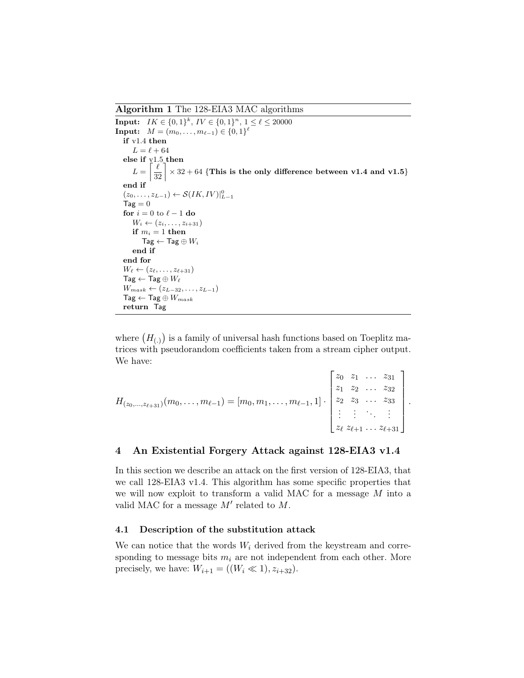<span id="page-5-1"></span>Algorithm 1 The 128-EIA3 MAC algorithms

**Input:**  $IK \in \{0,1\}^k$ ,  $IV \in \{0,1\}^n$ ,  $1 \leq \ell \leq 20000$  $\textbf{Input:} \quad M = (m_0, \ldots, m_{\ell-1}) \in \{0,1\}^{\ell}$ if v1.4 then  $L = \ell + 64$ else if v1.5 then  $L =$  $\left\lceil \frac{\ell}{32} \right\rceil$  $\times$  32 + 64 {This is the only difference between v1.4 and v1.5} end if  $(z_0, \ldots, z_{L-1}) \leftarrow \mathcal{S}(IK, IV)|_{L-1}^0$  $\text{Tag} = 0$ for  $i = 0$  to  $\ell - 1$  do  $W_i \leftarrow (z_i, \ldots, z_{i+31})$ if  $m_i = 1$  then  $\mathsf{Tag} \leftarrow \mathsf{Tag} \oplus W_i$ end if end for  $W_{\ell} \leftarrow (z_{\ell}, \ldots, z_{\ell+31})$  $\mathsf{Tag} \leftarrow \mathsf{Tag} \oplus W_{\ell}$  $W_{mask} \leftarrow (z_{L-32}, \ldots, z_{L-1})$  $\mathsf{Tag} \leftarrow \mathsf{Tag} \oplus W_{mask}$ return Tag

where  $(H_{(.)})$  is a family of universal hash functions based on Toeplitz matrices with pseudorandom coefficients taken from a stream cipher output. We have:

 $\blacksquare$ 

| $H_{(z_0,,z_{\ell+31})}(m_0,,m_{\ell-1}) = [m_0, m_1,,m_{\ell-1}, 1] \cdot \begin{bmatrix} z_0 & z_1 &  & z_{31} \\ z_1 & z_2 &  & z_{32} \\ z_2 & z_3 &  & z_{33} \\ \vdots & \vdots & \ddots & \vdots \\ z_{\ell} & z_{\ell+1} &  & z_{\ell+31} \end{bmatrix}$ |  |  |  |
|------------------------------------------------------------------------------------------------------------------------------------------------------------------------------------------------------------------------------------------------------------------|--|--|--|
|                                                                                                                                                                                                                                                                  |  |  |  |
|                                                                                                                                                                                                                                                                  |  |  |  |
|                                                                                                                                                                                                                                                                  |  |  |  |
|                                                                                                                                                                                                                                                                  |  |  |  |

#### <span id="page-5-0"></span>4 An Existential Forgery Attack against 128-EIA3 v1.4

In this section we describe an attack on the first version of 128-EIA3, that we call 128-EIA3 v1.4. This algorithm has some specific properties that we will now exploit to transform a valid MAC for a message M into a valid MAC for a message  $M'$  related to  $M$ .

#### 4.1 Description of the substitution attack

We can notice that the words  $W_i$  derived from the keystream and corresponding to message bits  $m_i$  are not independent from each other. More precisely, we have:  $W_{i+1} = ((W_i \ll 1), z_{i+32}).$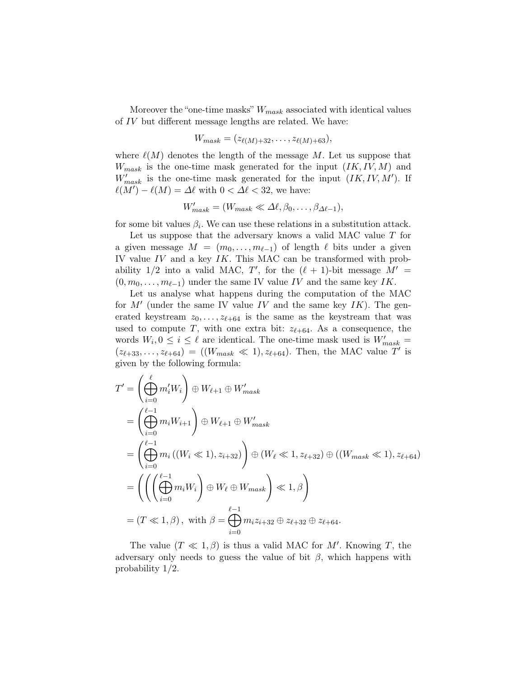Moreover the "one-time masks"  $W_{mask}$  associated with identical values of IV but different message lengths are related. We have:

$$
W_{mask} = (z_{\ell(M)+32}, \ldots, z_{\ell(M)+63}),
$$

where  $\ell(M)$  denotes the length of the message M. Let us suppose that  $W_{mask}$  is the one-time mask generated for the input  $(IK, IV, M)$  and  $W'_{mask}$  is the one-time mask generated for the input  $(IK, IV, M')$ . If  $\ell(M') - \ell(M) = \Delta \ell$  with  $0 < \Delta \ell < 32$ , we have:

$$
W'_{mask} = (W_{mask} \ll \Delta \ell, \beta_0, \ldots, \beta_{\Delta \ell-1}),
$$

for some bit values  $\beta_i$ . We can use these relations in a substitution attack.

Let us suppose that the adversary knows a valid MAC value T for a given message  $M = (m_0, \ldots, m_{\ell-1})$  of length  $\ell$  bits under a given IV value  $IV$  and a key  $IK$ . This MAC can be transformed with probability  $1/2$  into a valid MAC, T', for the  $(\ell + 1)$ -bit message  $M' =$  $(0, m_0, \ldots, m_{\ell-1})$  under the same IV value IV and the same key IK.

Let us analyse what happens during the computation of the MAC for  $M'$  (under the same IV value IV and the same key IK). The generated keystream  $z_0, \ldots, z_{\ell+64}$  is the same as the keystream that was used to compute T, with one extra bit:  $z_{\ell+64}$ . As a consequence, the words  $W_i, 0 \leq i \leq \ell$  are identical. The one-time mask used is  $W'_{mask}$  =  $(z_{\ell+33},...,z_{\ell+64}) = ((W_{mask} \ll 1), z_{\ell+64})$ . Then, the MAC value T' is given by the following formula:

$$
T' = \left(\bigoplus_{i=0}^{\ell} m'_i W_i\right) \oplus W_{\ell+1} \oplus W'_{mask}
$$
  
\n
$$
= \left(\bigoplus_{i=0}^{\ell-1} m_i W_{i+1}\right) \oplus W_{\ell+1} \oplus W'_{mask}
$$
  
\n
$$
= \left(\bigoplus_{i=0}^{\ell-1} m_i ((W_i \ll 1), z_{i+32})\right) \oplus (W_{\ell} \ll 1, z_{\ell+32}) \oplus ((W_{mask} \ll 1), z_{\ell+64})
$$
  
\n
$$
= \left(\left(\left(\bigoplus_{i=0}^{\ell-1} m_i W_i\right) \oplus W_{\ell} \oplus W_{mask}\right) \ll 1, \beta\right)
$$
  
\n
$$
= (T \ll 1, \beta), \text{ with } \beta = \bigoplus_{i=0}^{\ell-1} m_i z_{i+32} \oplus z_{\ell+32} \oplus z_{\ell+64}.
$$

The value  $(T \ll 1, \beta)$  is thus a valid MAC for M'. Knowing T, the adversary only needs to guess the value of bit  $\beta$ , which happens with probability 1/2.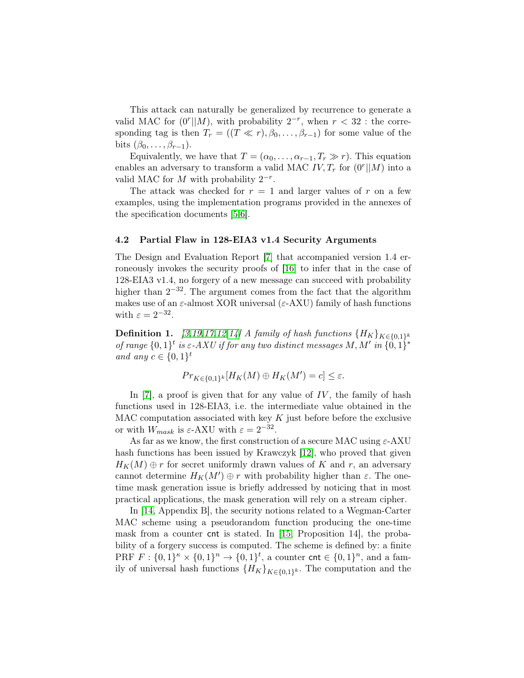This attack can naturally be generalized by recurrence to generate a valid MAC for  $(0^r||M)$ , with probability  $2^{-r}$ , when  $r < 32$ : the corresponding tag is then  $T_r = ((T \ll r), \beta_0, \ldots, \beta_{r-1})$  for some value of the bits  $(\beta_0, \ldots, \beta_{r-1})$ .

Equivalently, we have that  $T = (\alpha_0, \ldots, \alpha_{r-1}, T_r \gg r)$ . This equation enables an adversary to transform a valid MAC  $IV, T_r$  for  $(0^r || M)$  into a valid MAC for  $M$  with probability  $2^{-r}$ .

The attack was checked for  $r = 1$  and larger values of r on a few examples, using the implementation programs provided in the annexes of the specification documents [\[5,](#page-13-0)[6\]](#page-13-1).

#### 4.2 Partial Flaw in 128-EIA3 v1.4 Security Arguments

The Design and Evaluation Report [\[7\]](#page-13-6) that accompanied version 1.4 erroneously invokes the security proofs of [\[16\]](#page-14-5) to infer that in the case of 128-EIA3 v1.4, no forgery of a new message can succeed with probability higher than  $2^{-32}$ . The argument comes from the fact that the algorithm makes use of an  $\varepsilon$ -almost XOR universal ( $\varepsilon$ -AXU) family of hash functions with  $\varepsilon = 2^{-32}$ .

**Definition 1.** [\[3,](#page-13-5)[19](#page-14-3)[,17,](#page-14-7)[12](#page-14-4)[,14\]](#page-14-8) A family of hash functions  $\{H_K\}_{K \in \{0,1\}^k}$ of range  $\{0,1\}^t$  is  $\varepsilon$ -AXU if for any two distinct messages M, M' in  $\{0,1\}^*$ and any  $c \in \{0,1\}^t$ 

$$
Pr_{K \in \{0,1\}^k}[H_K(M) \oplus H_K(M') = c] \leq \varepsilon.
$$

In [\[7\]](#page-13-6), a proof is given that for any value of  $IV$ , the family of hash functions used in 128-EIA3, i.e. the intermediate value obtained in the MAC computation associated with key  $K$  just before before the exclusive or with  $W_{mask}$  is  $\varepsilon$ -AXU with  $\varepsilon = 2^{-32}$ .

As far as we know, the first construction of a secure MAC using  $\varepsilon$ -AXU hash functions has been issued by Krawczyk [\[12\]](#page-14-4), who proved that given  $H_K(M) \oplus r$  for secret uniformly drawn values of K and r, an adversary cannot determine  $H_K(M')\oplus r$  with probability higher than  $\varepsilon$ . The onetime mask generation issue is briefly addressed by noticing that in most practical applications, the mask generation will rely on a stream cipher.

In [\[14,](#page-14-8) Appendix B], the security notions related to a Wegman-Carter MAC scheme using a pseudorandom function producing the one-time mask from a counter cnt is stated. In [\[15,](#page-14-9) Proposition 14], the probability of a forgery success is computed. The scheme is defined by: a finite PRF  $F: \{0,1\}^{\kappa} \times \{0,1\}^n \to \{0,1\}^t$ , a counter cnt  $\in \{0,1\}^n$ , and a family of universal hash functions  ${H_K}_{K \in \{0,1\}^k}$ . The computation and the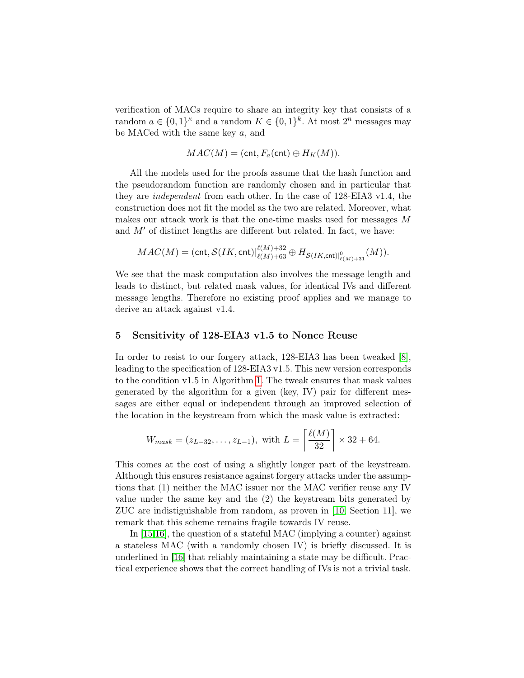verification of MACs require to share an integrity key that consists of a random  $a \in \{0,1\}^{\kappa}$  and a random  $K \in \{0,1\}^k$ . At most  $2^n$  messages may be MACed with the same key a, and

$$
MAC(M) = (cnt, F_a (cnt) \oplus H_K(M)).
$$

All the models used for the proofs assume that the hash function and the pseudorandom function are randomly chosen and in particular that they are independent from each other. In the case of 128-EIA3 v1.4, the construction does not fit the model as the two are related. Moreover, what makes our attack work is that the one-time masks used for messages M and  $M'$  of distinct lengths are different but related. In fact, we have:

$$
MAC(M) = (\mathsf{cnt}, \mathcal{S}(IK, \mathsf{cnt})|_{\ell(M)+63}^{\ell(M)+32} \oplus H_{\mathcal{S}(IK, \mathsf{cnt})|_{\ell(M)+31}^0}(M)).
$$

We see that the mask computation also involves the message length and leads to distinct, but related mask values, for identical IVs and different message lengths. Therefore no existing proof applies and we manage to derive an attack against v1.4.

#### <span id="page-8-0"></span>5 Sensitivity of 128-EIA3 v1.5 to Nonce Reuse

In order to resist to our forgery attack, 128-EIA3 has been tweaked [\[8\]](#page-13-2), leading to the specification of 128-EIA3 v1.5. This new version corresponds to the condition v1.5 in Algorithm [1.](#page-5-1) The tweak ensures that mask values generated by the algorithm for a given (key, IV) pair for different messages are either equal or independent through an improved selection of the location in the keystream from which the mask value is extracted:

$$
W_{mask} = (z_{L-32}, \ldots, z_{L-1}),
$$
 with  $L = \left\lceil \frac{\ell(M)}{32} \right\rceil \times 32 + 64.$ 

This comes at the cost of using a slightly longer part of the keystream. Although this ensures resistance against forgery attacks under the assumptions that (1) neither the MAC issuer nor the MAC verifier reuse any IV value under the same key and the (2) the keystream bits generated by ZUC are indistiguishable from random, as proven in [\[10,](#page-14-6) Section 11], we remark that this scheme remains fragile towards IV reuse.

In [\[15](#page-14-9)[,16\]](#page-14-5), the question of a stateful MAC (implying a counter) against a stateless MAC (with a randomly chosen IV) is briefly discussed. It is underlined in [\[16\]](#page-14-5) that reliably maintaining a state may be difficult. Practical experience shows that the correct handling of IVs is not a trivial task.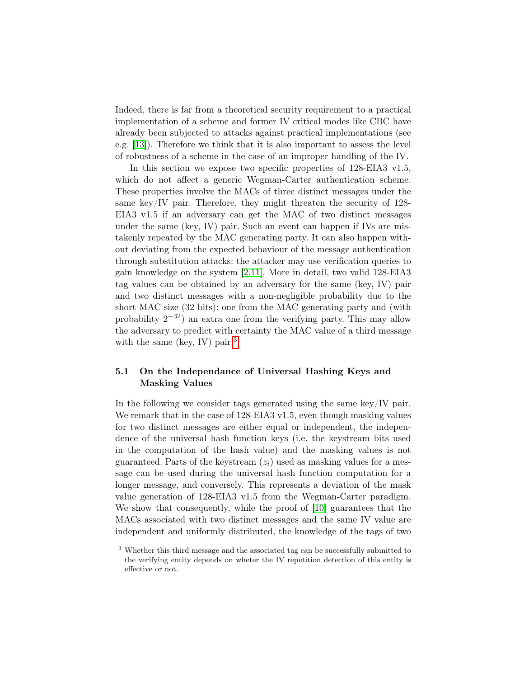Indeed, there is far from a theoretical security requirement to a practical implementation of a scheme and former IV critical modes like CBC have already been subjected to attacks against practical implementations (see e.g. [\[13\]](#page-14-10)). Therefore we think that it is also important to assess the level of robustness of a scheme in the case of an improper handling of the IV.

In this section we expose two specific properties of 128-EIA3 v1.5, which do not affect a generic Wegman-Carter authentication scheme. These properties involve the MACs of three distinct messages under the same key/IV pair. Therefore, they might threaten the security of 128- EIA3 v1.5 if an adversary can get the MAC of two distinct messages under the same (key, IV) pair. Such an event can happen if IVs are mistakenly repeated by the MAC generating party. It can also happen without deviating from the expected behaviour of the message authentication through substitution attacks: the attacker may use verification queries to gain knowledge on the system [\[2](#page-13-7)[,11\]](#page-14-11). More in detail, two valid 128-EIA3 tag values can be obtained by an adversary for the same (key, IV) pair and two distinct messages with a non-negligible probability due to the short MAC size (32 bits): one from the MAC generating party and (with probability  $2^{-32}$ ) an extra one from the verifying party. This may allow the adversary to predict with certainty the MAC value of a third message with the same (key, IV) pair.<sup>[3](#page-9-0)</sup>

#### 5.1 On the Independance of Universal Hashing Keys and Masking Values

In the following we consider tags generated using the same key/IV pair. We remark that in the case of 128-EIA3 v1.5, even though masking values for two distinct messages are either equal or independent, the independence of the universal hash function keys (i.e. the keystream bits used in the computation of the hash value) and the masking values is not guaranteed. Parts of the keystream  $(z<sub>i</sub>)$  used as masking values for a message can be used during the universal hash function computation for a longer message, and conversely. This represents a deviation of the mask value generation of 128-EIA3 v1.5 from the Wegman-Carter paradigm. We show that consequently, while the proof of [\[10\]](#page-14-6) guarantees that the MACs associated with two distinct messages and the same IV value are independent and uniformly distributed, the knowledge of the tags of two

<span id="page-9-0"></span><sup>3</sup> Whether this third message and the associated tag can be successfully submitted to the verifying entity depends on wheter the IV repetition detection of this entity is effective or not.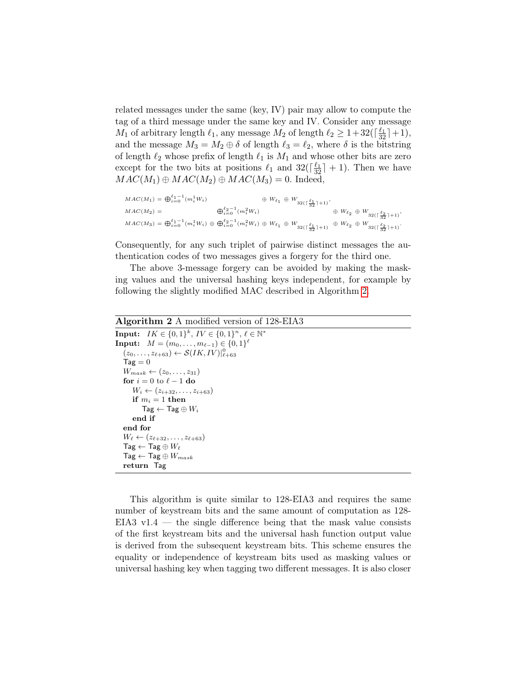related messages under the same (key, IV) pair may allow to compute the tag of a third message under the same key and IV. Consider any message  $M_1$  of arbitrary length  $\ell_1$ , any message  $M_2$  of length  $\ell_2 \geq 1+32(\lceil \frac{\ell_1}{32} \rceil+1)$ , and the message  $M_3 = M_2 \oplus \delta$  of length  $\ell_3 = \ell_2$ , where  $\delta$  is the bitstring of length  $\ell_2$  whose prefix of length  $\ell_1$  is  $M_1$  and whose other bits are zero except for the two bits at positions  $\ell_1$  and  $32(\lceil \frac{\ell_1}{32} \rceil + 1)$ . Then we have  $MAC(M_1) \oplus MAC(M_2) \oplus MAC(M_3) = 0.$  Indeed,

$$
\begin{array}{lll} \displaystyle MAC(M_1)=\bigoplus_{i=0}^{\ell_1-1}(m_i^1W_i) & \oplus \; W_{\ell_1}\,\oplus\,W_{32(\lceil\frac{\ell_1}{32}\rceil+1)},\\ \displaystyle MAC(M_2)=& \bigoplus_{i=0}^{\ell_2-1}(m_i^2W_i) & \oplus \; W_{\ell_2}\,\oplus\,W_{32(\lceil\frac{\ell_2}{32}\rceil+1)},\\ \displaystyle MAC(M_3)=\bigoplus_{i=0}^{\ell_1-1}(m_i^1W_i)\,\oplus\,\bigoplus_{i=0}^{\ell_2-1}(m_i^2W_i)\,\oplus\,W_{\ell_1}\,\oplus\,W_{32(\lceil\frac{\ell_1}{32}\rceil+1)} & \oplus \; W_{\ell_2}\,\oplus\,W_{32(\lceil\frac{\ell_2}{32}\rceil+1)}. \end{array}
$$

Consequently, for any such triplet of pairwise distinct messages the authentication codes of two messages gives a forgery for the third one.

The above 3-message forgery can be avoided by making the masking values and the universal hashing keys independent, for example by following the slightly modified MAC described in Algorithm [2.](#page-10-0)

#### <span id="page-10-0"></span>Algorithm 2 A modified version of 128-EIA3  $\textbf{Input:} \ \ \ IK \in \{0,1\}^k, \ IV \in \{0,1\}^n, \ \ell \in \mathbb{N}^*$  $\textbf{Input:} \quad M = (m_0, \ldots, m_{\ell-1}) \in \{0,1\}^{\ell}$  $(z_0, \ldots, z_{\ell+63}) \leftarrow \mathcal{S}(IK, IV)|_{\ell+63}^0$  $Tag = 0$  $W_{mask} \leftarrow (z_0, \ldots, z_{31})$ for  $i = 0$  to  $\ell - 1$  do  $W_i \leftarrow (z_{i+32}, \ldots, z_{i+63})$ if  $m_i = 1$  then  $Tag \leftarrow Tag \oplus W_i$ end if end for  $W_{\ell} \leftarrow (z_{\ell+32}, \ldots, z_{\ell+63})$  $\mathsf{Tag} \leftarrow \mathsf{Tag} \oplus W_\ell$  $\mathsf{Tag} \leftarrow \mathsf{Tag} \oplus W_{mask}$ return Tag

This algorithm is quite similar to 128-EIA3 and requires the same number of keystream bits and the same amount of computation as 128- EIA3 v1.4 — the single difference being that the mask value consists of the first keystream bits and the universal hash function output value is derived from the subsequent keystream bits. This scheme ensures the equality or independence of keystream bits used as masking values or universal hashing key when tagging two different messages. It is also closer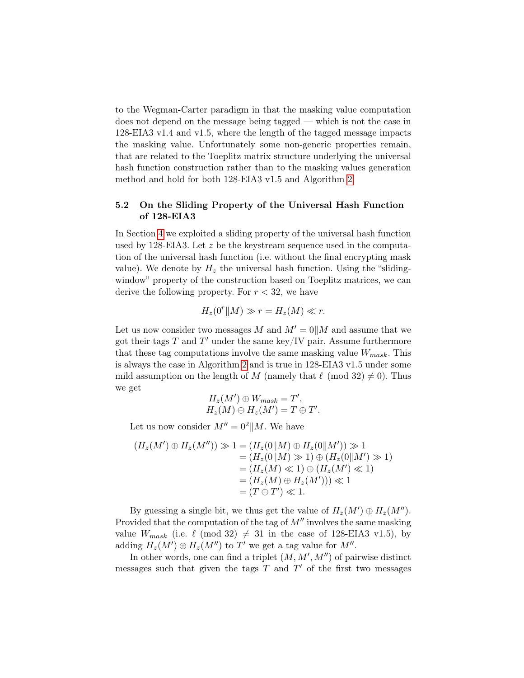to the Wegman-Carter paradigm in that the masking value computation does not depend on the message being tagged — which is not the case in 128-EIA3 v1.4 and v1.5, where the length of the tagged message impacts the masking value. Unfortunately some non-generic properties remain, that are related to the Toeplitz matrix structure underlying the universal hash function construction rather than to the masking values generation method and hold for both 128-EIA3 v1.5 and Algorithm [2.](#page-10-0)

#### 5.2 On the Sliding Property of the Universal Hash Function of 128-EIA3

In Section [4](#page-5-0) we exploited a sliding property of the universal hash function used by 128-EIA3. Let  $z$  be the keystream sequence used in the computation of the universal hash function (i.e. without the final encrypting mask value). We denote by  $H_z$  the universal hash function. Using the "slidingwindow" property of the construction based on Toeplitz matrices, we can derive the following property. For  $r < 32$ , we have

$$
H_z(0^r \parallel M) \gg r = H_z(M) \ll r.
$$

Let us now consider two messages M and  $M' = 0||M$  and assume that we got their tags  $T$  and  $T'$  under the same key/IV pair. Assume furthermore that these tag computations involve the same masking value  $W_{mask}$ . This is always the case in Algorithm [2](#page-10-0) and is true in 128-EIA3 v1.5 under some mild assumption on the length of M (namely that  $\ell \pmod{32} \neq 0$ ). Thus we get

$$
H_z(M') \oplus W_{mask} = T',
$$
  

$$
H_z(M) \oplus H_z(M') = T \oplus T'.
$$

Let us now consider  $M'' = 0^2 || M$ . We have

$$
(H_z(M') \oplus H_z(M'')) \gg 1 = (H_z(0||M) \oplus H_z(0||M')) \gg 1
$$
  
=  $(H_z(0||M) \gg 1) \oplus (H_z(0||M') \gg 1)$   
=  $(H_z(M) \ll 1) \oplus (H_z(M') \ll 1)$   
=  $(H_z(M) \oplus H_z(M')) \ll 1$   
=  $(T \oplus T') \ll 1$ .

By guessing a single bit, we thus get the value of  $H_z(M') \oplus H_z(M'')$ . Provided that the computation of the tag of  $M''$  involves the same masking value  $W_{mask}$  (i.e.  $\ell \pmod{32} \neq 31$  in the case of 128-EIA3 v1.5), by adding  $H_z(M') \oplus H_z(M'')$  to T' we get a tag value for  $M''$ .

In other words, one can find a triplet  $(M, M', M'')$  of pairwise distinct messages such that given the tags  $T$  and  $T'$  of the first two messages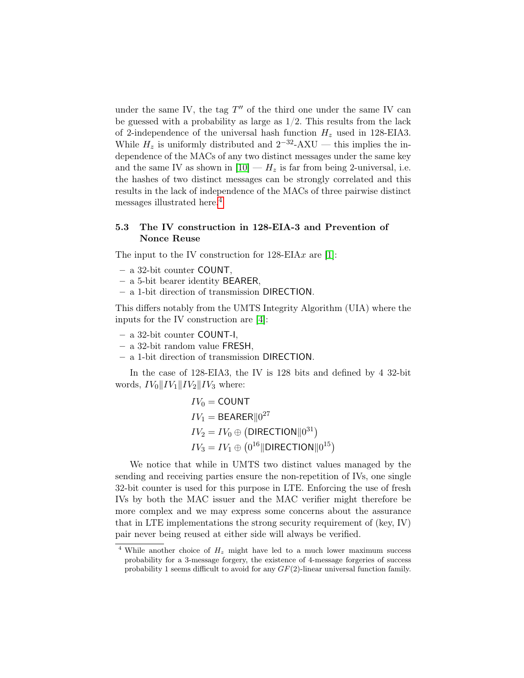under the same IV, the tag  $T''$  of the third one under the same IV can be guessed with a probability as large as  $1/2$ . This results from the lack of 2-independence of the universal hash function  $H<sub>z</sub>$  used in 128-EIA3. While  $H_z$  is uniformly distributed and  $2^{-32}$ -AXU — this implies the independence of the MACs of any two distinct messages under the same key and the same IV as shown in  $[10] - H_z$  is far from being 2-universal, i.e. the hashes of two distinct messages can be strongly correlated and this results in the lack of independence of the MACs of three pairwise distinct messages illustrated here.[4](#page-12-0)

#### 5.3 The IV construction in 128-EIA-3 and Prevention of Nonce Reuse

The input to the IV construction for  $128$ -EIAx are [\[1\]](#page-13-4):

- a 32-bit counter COUNT,
- a 5-bit bearer identity BEARER,
- a 1-bit direction of transmission DIRECTION.

This differs notably from the UMTS Integrity Algorithm (UIA) where the inputs for the IV construction are [\[4\]](#page-13-3):

- a 32-bit counter COUNT-I,
- a 32-bit random value FRESH,
- a 1-bit direction of transmission DIRECTION.

In the case of 128-EIA3, the IV is 128 bits and defined by 4 32-bit words,  $IV_0\|IV_1\|IV_2\|IV_3$  where:

$$
IV_0 = \text{COUNT}
$$
  
\n
$$
IV_1 = \text{BEARER}||0^{27}
$$
  
\n
$$
IV_2 = IV_0 \oplus (\text{DIRECTION}||0^{31})
$$
  
\n
$$
IV_3 = IV_1 \oplus (0^{16}||\text{DIRECTION}||0^{15})
$$

We notice that while in UMTS two distinct values managed by the sending and receiving parties ensure the non-repetition of IVs, one single 32-bit counter is used for this purpose in LTE. Enforcing the use of fresh IVs by both the MAC issuer and the MAC verifier might therefore be more complex and we may express some concerns about the assurance that in LTE implementations the strong security requirement of (key, IV) pair never being reused at either side will always be verified.

<span id="page-12-0"></span><sup>&</sup>lt;sup>4</sup> While another choice of  $H_z$  might have led to a much lower maximum success probability for a 3-message forgery, the existence of 4-message forgeries of success probability 1 seems difficult to avoid for any  $GF(2)$ -linear universal function family.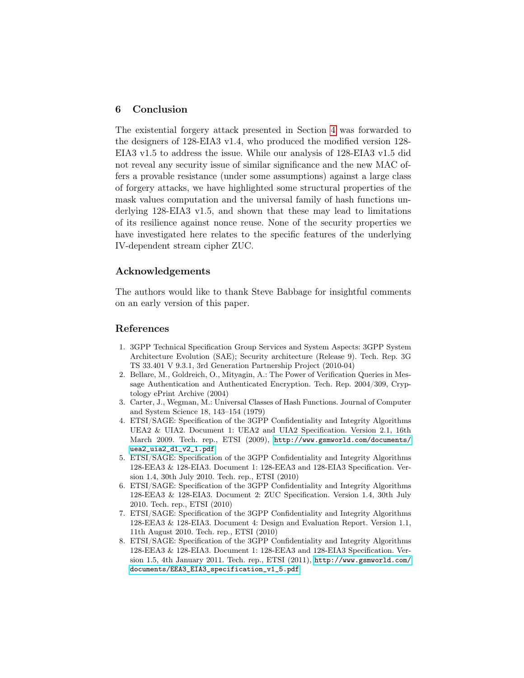#### 6 Conclusion

The existential forgery attack presented in Section [4](#page-5-0) was forwarded to the designers of 128-EIA3 v1.4, who produced the modified version 128- EIA3 v1.5 to address the issue. While our analysis of 128-EIA3 v1.5 did not reveal any security issue of similar significance and the new MAC offers a provable resistance (under some assumptions) against a large class of forgery attacks, we have highlighted some structural properties of the mask values computation and the universal family of hash functions underlying 128-EIA3 v1.5, and shown that these may lead to limitations of its resilience against nonce reuse. None of the security properties we have investigated here relates to the specific features of the underlying IV-dependent stream cipher ZUC.

#### Acknowledgements

The authors would like to thank Steve Babbage for insightful comments on an early version of this paper.

#### References

- <span id="page-13-4"></span>1. 3GPP Technical Specification Group Services and System Aspects: 3GPP System Architecture Evolution (SAE); Security architecture (Release 9). Tech. Rep. 3G TS 33.401 V 9.3.1, 3rd Generation Partnership Project (2010-04)
- <span id="page-13-7"></span>2. Bellare, M., Goldreich, O., Mityagin, A.: The Power of Verification Queries in Message Authentication and Authenticated Encryption. Tech. Rep. 2004/309, Cryptology ePrint Archive (2004)
- <span id="page-13-5"></span>3. Carter, J., Wegman, M.: Universal Classes of Hash Functions. Journal of Computer and System Science 18, 143–154 (1979)
- <span id="page-13-3"></span>4. ETSI/SAGE: Specification of the 3GPP Confidentiality and Integrity Algorithms UEA2 & UIA2. Document 1: UEA2 and UIA2 Specification. Version 2.1, 16th March 2009. Tech. rep., ETSI (2009), [http://www.gsmworld.com/documents/](http://www.gsmworld.com/documents/uea2_uia2_d1_v2_1.pdf) [uea2\\_uia2\\_d1\\_v2\\_1.pdf](http://www.gsmworld.com/documents/uea2_uia2_d1_v2_1.pdf)
- <span id="page-13-0"></span>5. ETSI/SAGE: Specification of the 3GPP Confidentiality and Integrity Algorithms 128-EEA3 & 128-EIA3. Document 1: 128-EEA3 and 128-EIA3 Specification. Version 1.4, 30th July 2010. Tech. rep., ETSI (2010)
- <span id="page-13-1"></span>6. ETSI/SAGE: Specification of the 3GPP Confidentiality and Integrity Algorithms 128-EEA3 & 128-EIA3. Document 2: ZUC Specification. Version 1.4, 30th July 2010. Tech. rep., ETSI (2010)
- <span id="page-13-6"></span>7. ETSI/SAGE: Specification of the 3GPP Confidentiality and Integrity Algorithms 128-EEA3 & 128-EIA3. Document 4: Design and Evaluation Report. Version 1.1, 11th August 2010. Tech. rep., ETSI (2010)
- <span id="page-13-2"></span>8. ETSI/SAGE: Specification of the 3GPP Confidentiality and Integrity Algorithms 128-EEA3 & 128-EIA3. Document 1: 128-EEA3 and 128-EIA3 Specification. Version 1.5, 4th January 2011. Tech. rep., ETSI (2011), [http://www.gsmworld.com/](http://www.gsmworld.com/documents/EEA3_EIA3_specification_v1_5.pdf) [documents/EEA3\\_EIA3\\_specification\\_v1\\_5.pdf](http://www.gsmworld.com/documents/EEA3_EIA3_specification_v1_5.pdf)